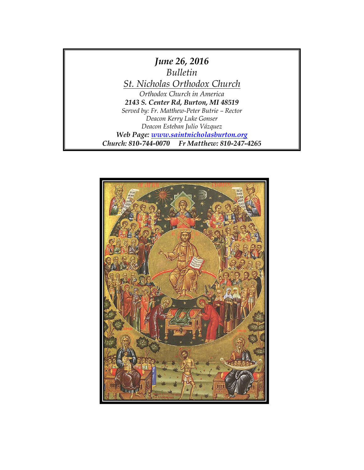

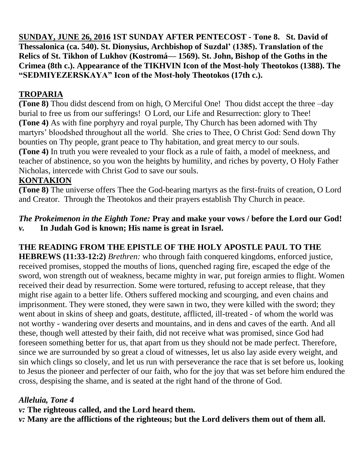**SUNDAY, JUNE 26, 2016 1ST SUNDAY AFTER PENTECOST - Tone 8. St. David of Thessalonica (ca. 540). St. Dionysius, Archbishop of Suzdal' (1385). Translation of the Relics of St. Tikhon of Lukhov (Kostromá— 1569). St. John, Bishop of the Goths in the Crimea (8th c.). Appearance of the TIKHVIN Icon of the Most-holy Theotokos (1388). The "SEDMIYEZERSKAYA" Icon of the Most-holy Theotokos (17th c.).**

## **TROPARIA**

**(Tone 8)** Thou didst descend from on high, O Merciful One! Thou didst accept the three –day burial to free us from our sufferings! O Lord, our Life and Resurrection: glory to Thee! **(Tone 4)** As with fine porphyry and royal purple, Thy Church has been adorned with Thy martyrs' bloodshed throughout all the world. She cries to Thee, O Christ God: Send down Thy bounties on Thy people, grant peace to Thy habitation, and great mercy to our souls. **(Tone 4)** In truth you were revealed to your flock as a rule of faith, a model of meekness, and teacher of abstinence, so you won the heights by humility, and riches by poverty, O Holy Father Nicholas, intercede with Christ God to save our souls.

### **KONTAKION**

**(Tone 8)** The universe offers Thee the God-bearing martyrs as the first-fruits of creation, O Lord and Creator. Through the Theotokos and their prayers establish Thy Church in peace.

# *The Prokeimenon in the Eighth Tone:* **Pray and make your vows / before the Lord our God!**

*v.* **In Judah God is known; His name is great in Israel.**

## **THE READING FROM THE EPISTLE OF THE HOLY APOSTLE PAUL TO THE**

**HEBREWS (11:33-12:2)** *Brethren:* who through faith conquered kingdoms, enforced justice, received promises, stopped the mouths of lions, quenched raging fire, escaped the edge of the sword, won strength out of weakness, became mighty in war, put foreign armies to flight. Women received their dead by resurrection. Some were tortured, refusing to accept release, that they might rise again to a better life. Others suffered mocking and scourging, and even chains and imprisonment. They were stoned, they were sawn in two, they were killed with the sword; they went about in skins of sheep and goats, destitute, afflicted, ill-treated - of whom the world was not worthy - wandering over deserts and mountains, and in dens and caves of the earth. And all these, though well attested by their faith, did not receive what was promised, since God had foreseen something better for us, that apart from us they should not be made perfect. Therefore, since we are surrounded by so great a cloud of witnesses, let us also lay aside every weight, and sin which clings so closely, and let us run with perseverance the race that is set before us, looking to Jesus the pioneer and perfecter of our faith, who for the joy that was set before him endured the cross, despising the shame, and is seated at the right hand of the throne of God.

### *Alleluia, Tone 4*

*v:* **The righteous called, and the Lord heard them.**

*v:* **Many are the afflictions of the righteous; but the Lord delivers them out of them all.**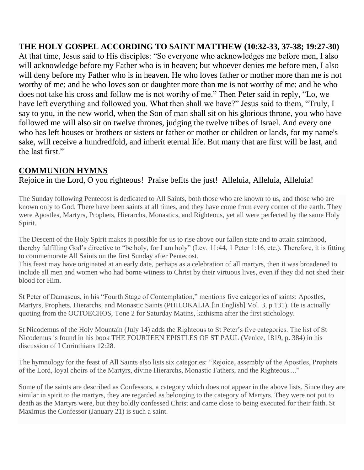**THE HOLY GOSPEL ACCORDING TO SAINT MATTHEW (10:32-33, 37-38; 19:27-30)**  At that time, Jesus said to His disciples: "So everyone who acknowledges me before men, I also will acknowledge before my Father who is in heaven; but whoever denies me before men, I also will deny before my Father who is in heaven. He who loves father or mother more than me is not worthy of me; and he who loves son or daughter more than me is not worthy of me; and he who does not take his cross and follow me is not worthy of me." Then Peter said in reply, "Lo, we have left everything and followed you. What then shall we have?" Jesus said to them, "Truly, I say to you, in the new world, when the Son of man shall sit on his glorious throne, you who have followed me will also sit on twelve thrones, judging the twelve tribes of Israel. And every one who has left houses or brothers or sisters or father or mother or children or lands, for my name's sake, will receive a hundredfold, and inherit eternal life. But many that are first will be last, and the last first."

### **COMMUNION HYMNS**

Rejoice in the Lord, O you righteous! Praise befits the just! Alleluia, Alleluia, Alleluia!

The Sunday following Pentecost is dedicated to All Saints, both those who are known to us, and those who are known only to God. There have been saints at all times, and they have come from every corner of the earth. They were Apostles, Martyrs, Prophets, Hierarchs, Monastics, and Righteous, yet all were perfected by the same Holy Spirit.

The Descent of the Holy Spirit makes it possible for us to rise above our fallen state and to attain sainthood, thereby fulfilling God's directive to "be holy, for I am holy" (Lev. 11:44, 1 Peter 1:16, etc.). Therefore, it is fitting to commemorate All Saints on the first Sunday after Pentecost.

This feast may have originated at an early date, perhaps as a celebration of all martyrs, then it was broadened to include all men and women who had borne witness to Christ by their virtuous lives, even if they did not shed their blood for Him.

St Peter of Damascus, in his "Fourth Stage of Contemplation," mentions five categories of saints: Apostles, Martyrs, Prophets, Hierarchs, and Monastic Saints (PHILOKALIA [in English] Vol. 3, p.131). He is actually quoting from the OCTOECHOS, Tone 2 for Saturday Matins, kathisma after the first stichology.

St Nicodemus of the Holy Mountain (July 14) adds the Righteous to St Peter's five categories. The list of St Nicodemus is found in his book THE FOURTEEN EPISTLES OF ST PAUL (Venice, 1819, p. 384) in his discussion of I Corinthians 12:28.

The hymnology for the feast of All Saints also lists six categories: "Rejoice, assembly of the Apostles, Prophets of the Lord, loyal choirs of the Martyrs, divine Hierarchs, Monastic Fathers, and the Righteous...."

Some of the saints are described as Confessors, a category which does not appear in the above lists. Since they are similar in spirit to the martyrs, they are regarded as belonging to the category of Martyrs. They were not put to death as the Martyrs were, but they boldly confessed Christ and came close to being executed for their faith. St Maximus the Confessor (January 21) is such a saint.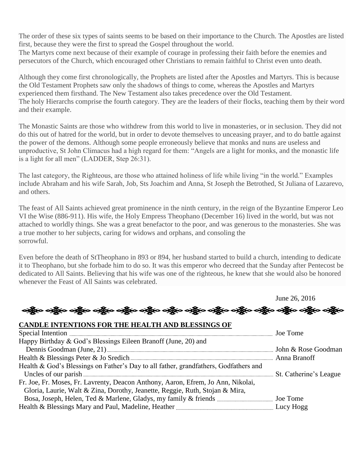The order of these six types of saints seems to be based on their importance to the Church. The Apostles are listed first, because they were the first to spread the Gospel throughout the world.

The Martyrs come next because of their example of courage in professing their faith before the enemies and persecutors of the Church, which encouraged other Christians to remain faithful to Christ even unto death.

Although they come first chronologically, the Prophets are listed after the Apostles and Martyrs. This is because the Old Testament Prophets saw only the shadows of things to come, whereas the Apostles and Martyrs experienced them firsthand. The New Testament also takes precedence over the Old Testament. The holy Hierarchs comprise the fourth category. They are the leaders of their flocks, teaching them by their word and their example.

The Monastic Saints are those who withdrew from this world to live in monasteries, or in seclusion. They did not do this out of hatred for the world, but in order to devote themselves to unceasing prayer, and to do battle against the power of the demons. Although some people erroneously believe that monks and nuns are useless and unproductive, St John Climacus had a high regard for them: "Angels are a light for monks, and the monastic life is a light for all men" (LADDER, Step 26:31).

The last category, the Righteous, are those who attained holiness of life while living "in the world." Examples include Abraham and his wife Sarah, Job, Sts Joachim and Anna, St Joseph the Betrothed, St Juliana of Lazarevo, and others.

The feast of All Saints achieved great prominence in the ninth century, in the reign of the Byzantine Emperor Leo VI the Wise (886-911). His wife, the Holy Empress Theophano (December 16) lived in the world, but was not attached to worldly things. She was a great benefactor to the poor, and was generous to the monasteries. She was a true mother to her subjects, caring for widows and orphans, and consoling the sorrowful.

Even before the death of StTheophano in 893 or 894, her husband started to build a church, intending to dedicate it to Theophano, but she forbade him to do so. It was this emperor who decreed that the Sunday after Pentecost be dedicated to All Saints. Believing that his wife was one of the righteous, he knew that she would also be honored whenever the Feast of All Saints was celebrated.

June 26, 2016 ခရွိက ခရွိက ခရွိက ခရွိက အိုလား အိုလား ခရွိက ခရွိက ခရွိက ခရွိက ခရွိက ခရွိက ခရွိက ခရွိက ခရွိက **CANDLE INTENTIONS FOR THE HEALTH AND BLESSINGS OF**  Special Intention <u>music contained and the second</u> second intention  $\alpha$ . Joe Tome Happy Birthday & God's Blessings Eileen Branoff (June, 20) and Dennis Goodman (June, 21)  $\ldots$  John & Rose Goodman Health & Blessings Peter & Jo Sredich Anna Branoff Health & God's Blessings on Father's Day to all father, grandfathers, Godfathers and Uncles of our parish St. Catherine's League Fr. Joe, Fr. Moses, Fr. Lavrenty, Deacon Anthony, Aaron, Efrem, Jo Ann, Nikolai, Gloria, Laurie, Walt & Zina, Dorothy, Jeanette, Reggie, Ruth, Stojan & Mira, Bosa, Joseph, Helen, Ted & Marlene, Gladys, my family & friends Joe Tome Health & Blessings Mary and Paul, Madeline, Heather Lucy Hogg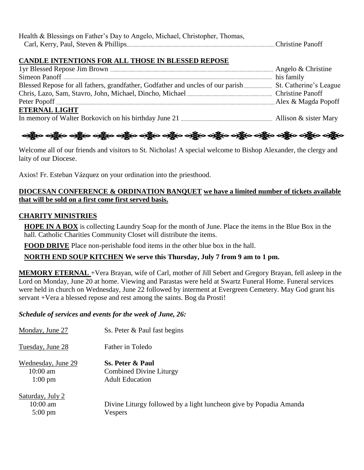| Health & Blessings on Father's Day to Angelo, Michael, Christopher, Thomas, |  |
|-----------------------------------------------------------------------------|--|
|                                                                             |  |

#### **CANDLE INTENTIONS FOR ALL THOSE IN BLESSED REPOSE**

| <b>ETERNAL LIGHT</b>                                                                                   |  |
|--------------------------------------------------------------------------------------------------------|--|
| In memory of Walter Borkovich on his birthday June 21 $\ldots$ $\ldots$ $\ldots$ Allison & sister Mary |  |



Welcome all of our friends and visitors to St. Nicholas! A special welcome to Bishop Alexander, the clergy and laity of our Diocese.

Axios! Fr. Esteban Vázquez on your ordination into the priesthood.

#### **DIOCESAN CONFERENCE & ORDINATION BANQUET we have a limited number of tickets available that will be sold on a first come first served basis.**

#### **CHARITY MINISTRIES**

**HOPE IN A BOX** is collecting Laundry Soap for the month of June. Place the items in the Blue Box in the hall. Catholic Charities Community Closet will distribute the items.

**FOOD DRIVE** Place non-perishable food items in the other blue box in the hall.

**NORTH END SOUP KITCHEN We serve this Thursday, July 7 from 9 am to 1 pm.**

**MEMORY ETERNAL** +Vera Brayan, wife of Carl, mother of Jill Sebert and Gregory Brayan, fell asleep in the Lord on Monday, June 20 at home. Viewing and Parastas were held at Swartz Funeral Home. Funeral services were held in church on Wednesday, June 22 followed by interment at Evergreen Cemetery. May God grant his servant +Vera a blessed repose and rest among the saints. Bog da Prosti!

#### *Schedule of services and events for the week of June, 26:*

| Monday, June 27                                       | Ss. Peter & Paul fast begins                                                         |
|-------------------------------------------------------|--------------------------------------------------------------------------------------|
| Tuesday, June 28                                      | Father in Toledo                                                                     |
| Wednesday, June 29<br>$10:00$ am<br>$1:00 \text{ pm}$ | Ss. Peter & Paul<br><b>Combined Divine Liturgy</b><br><b>Adult Education</b>         |
| Saturday, July 2<br>$10:00$ am<br>$5:00 \text{ pm}$   | Divine Liturgy followed by a light luncheon give by Popadia Amanda<br><b>Vespers</b> |